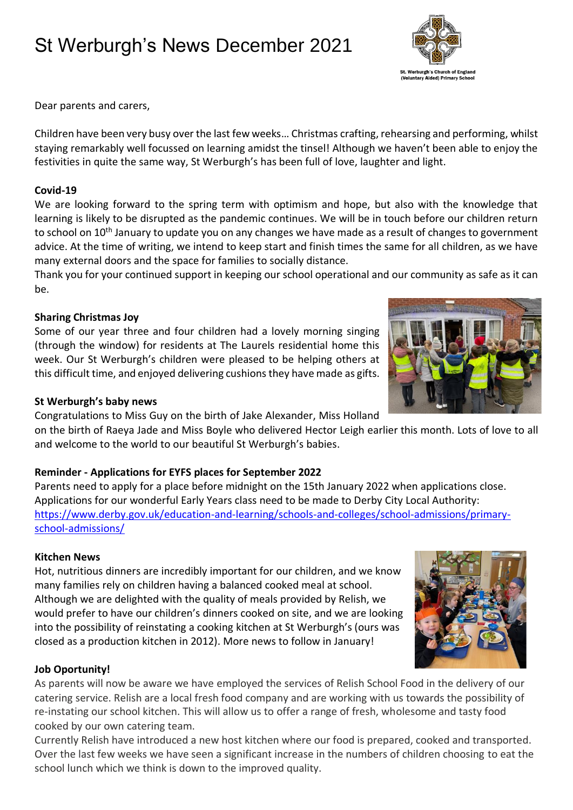# St Werburgh's News December 2021

St. Werburgh's Church of England<br>(Voluntary Aided) Primary School

Dear parents and carers,

Children have been very busy over the last few weeks… Christmas crafting, rehearsing and performing, whilst staying remarkably well focussed on learning amidst the tinsel! Although we haven't been able to enjoy the festivities in quite the same way, St Werburgh's has been full of love, laughter and light.

#### **Covid-19**

We are looking forward to the spring term with optimism and hope, but also with the knowledge that learning is likely to be disrupted as the pandemic continues. We will be in touch before our children return to school on 10<sup>th</sup> January to update you on any changes we have made as a result of changes to government advice. At the time of writing, we intend to keep start and finish times the same for all children, as we have many external doors and the space for families to socially distance.

Thank you for your continued support in keeping our school operational and our community as safe as it can be.

### **Sharing Christmas Joy**

Some of our year three and four children had a lovely morning singing (through the window) for residents at The Laurels residential home this week. Our St Werburgh's children were pleased to be helping others at this difficult time, and enjoyed delivering cushions they have made as gifts.

## **St Werburgh's baby news**

Congratulations to Miss Guy on the birth of Jake Alexander, Miss Holland on the birth of Raeya Jade and Miss Boyle who delivered Hector Leigh earlier this month. Lots of love to all and welcome to the world to our beautiful St Werburgh's babies.

## **Reminder - Applications for EYFS places for September 2022**

Parents need to apply for a place before midnight on the 15th January 2022 when applications close. Applications for our wonderful Early Years class need to be made to Derby City Local Authority: [https://www.derby.gov.uk/education-and-learning/schools-and-colleges/school-admissions/primary](https://www.derby.gov.uk/education-and-learning/schools-and-colleges/school-admissions/primary-school-admissions/)[school-admissions/](https://www.derby.gov.uk/education-and-learning/schools-and-colleges/school-admissions/primary-school-admissions/)

### **Kitchen News**

Hot, nutritious dinners are incredibly important for our children, and we know many families rely on children having a balanced cooked meal at school. Although we are delighted with the quality of meals provided by Relish, we would prefer to have our children's dinners cooked on site, and we are looking into the possibility of reinstating a cooking kitchen at St Werburgh's (ours was closed as a production kitchen in 2012). More news to follow in January!

### **Job Oportunity!**

As parents will now be aware we have employed the services of Relish School Food in the delivery of our catering service. Relish are a local fresh food company and are working with us towards the possibility of re-instating our school kitchen. This will allow us to offer a range of fresh, wholesome and tasty food cooked by our own catering team.

Currently Relish have introduced a new host kitchen where our food is prepared, cooked and transported. Over the last few weeks we have seen a significant increase in the numbers of children choosing to eat the school lunch which we think is down to the improved quality.